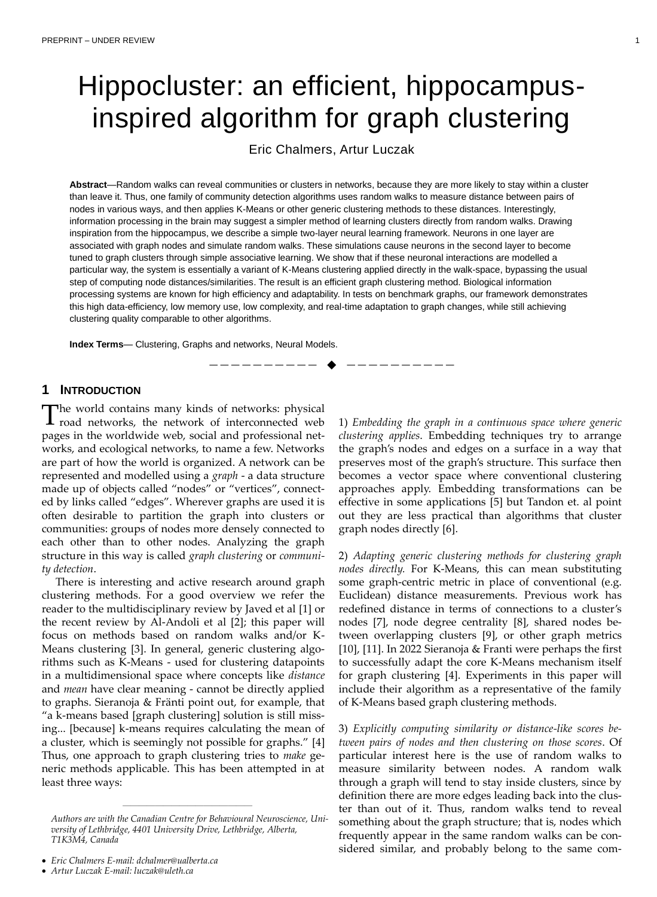# Hippocluster: an efficient, hippocampusinspired algorithm for graph clustering

Eric Chalmers, Artur Luczak

**Abstract**—Random walks can reveal communities or clusters in networks, because they are more likely to stay within a cluster than leave it. Thus, one family of community detection algorithms uses random walks to measure distance between pairs of nodes in various ways, and then applies K-Means or other generic clustering methods to these distances. Interestingly, information processing in the brain may suggest a simpler method of learning clusters directly from random walks. Drawing inspiration from the hippocampus, we describe a simple two-layer neural learning framework. Neurons in one layer are associated with graph nodes and simulate random walks. These simulations cause neurons in the second layer to become tuned to graph clusters through simple associative learning. We show that if these neuronal interactions are modelled a particular way, the system is essentially a variant of K-Means clustering applied directly in the walk-space, bypassing the usual step of computing node distances/similarities. The result is an efficient graph clustering method. Biological information processing systems are known for high efficiency and adaptability. In tests on benchmark graphs, our framework demonstrates this high data-efficiency, low memory use, low complexity, and real-time adaptation to graph changes, while still achieving clustering quality comparable to other algorithms.

—————————— ◆ ——————————

**Index Terms**— Clustering, Graphs and networks, Neural Models.

# **1 INTRODUCTION**

he world contains many kinds of networks: physical  $\Gamma$  road networks, the network of interconnected web pages in the worldwide web, social and professional networks, and ecological networks, to name a few. Networks are part of how the world is organized. A network can be represented and modelled using a *graph* - a data structure made up of objects called "nodes" or "vertices", connected by links called "edges". Wherever graphs are used it is often desirable to partition the graph into clusters or communities: groups of nodes more densely connected to each other than to other nodes. Analyzing the graph structure in this way is called *graph clustering* or *community detection*.

There is interesting and active research around graph clustering methods. For a good overview we refer the reader to the multidisciplinary review by Javed et al [1] or the recent review by Al-Andoli et al [2]; this paper will focus on methods based on random walks and/or K-Means clustering [3]. In general, generic clustering algorithms such as K-Means - used for clustering datapoints in a multidimensional space where concepts like *distance* and *mean* have clear meaning - cannot be directly applied to graphs. Sieranoja & Fränti point out, for example, that "a k-means based [graph clustering] solution is still missing... [because] k-means requires calculating the mean of a cluster, which is seemingly not possible for graphs." [4] Thus, one approach to graph clustering tries to *make* generic methods applicable. This has been attempted in at least three ways:

————————————————

• *Eric Chalmers E-mail: dchalmer@ualberta.ca*

1) *Embedding the graph in a continuous space where generic clustering applies*. Embedding techniques try to arrange the graph's nodes and edges on a surface in a way that preserves most of the graph's structure. This surface then becomes a vector space where conventional clustering approaches apply. Embedding transformations can be effective in some applications [5] but Tandon et. al point out they are less practical than algorithms that cluster graph nodes directly [6].

2) *Adapting generic clustering methods for clustering graph nodes directly.* For K-Means, this can mean substituting some graph-centric metric in place of conventional (e.g. Euclidean) distance measurements. Previous work has redefined distance in terms of connections to a cluster's nodes [7], node degree centrality [8], shared nodes between overlapping clusters [9], or other graph metrics [10], [11]. In 2022 Sieranoja & Franti were perhaps the first to successfully adapt the core K-Means mechanism itself for graph clustering [4]. Experiments in this paper will include their algorithm as a representative of the family of K-Means based graph clustering methods.

3) *Explicitly computing similarity or distance-like scores between pairs of nodes and then clustering on those scores*. Of particular interest here is the use of random walks to measure similarity between nodes. A random walk through a graph will tend to stay inside clusters, since by definition there are more edges leading back into the cluster than out of it. Thus, random walks tend to reveal something about the graph structure; that is, nodes which frequently appear in the same random walks can be considered similar, and probably belong to the same com-

*Authors are with the Canadian Centre for Behavioural Neuroscience, University of Lethbridge, 4401 University Drive, Lethbridge, Alberta, T1K3M4, Canada*

<sup>•</sup> *Artur Luczak E-mail: luczak@uleth.ca*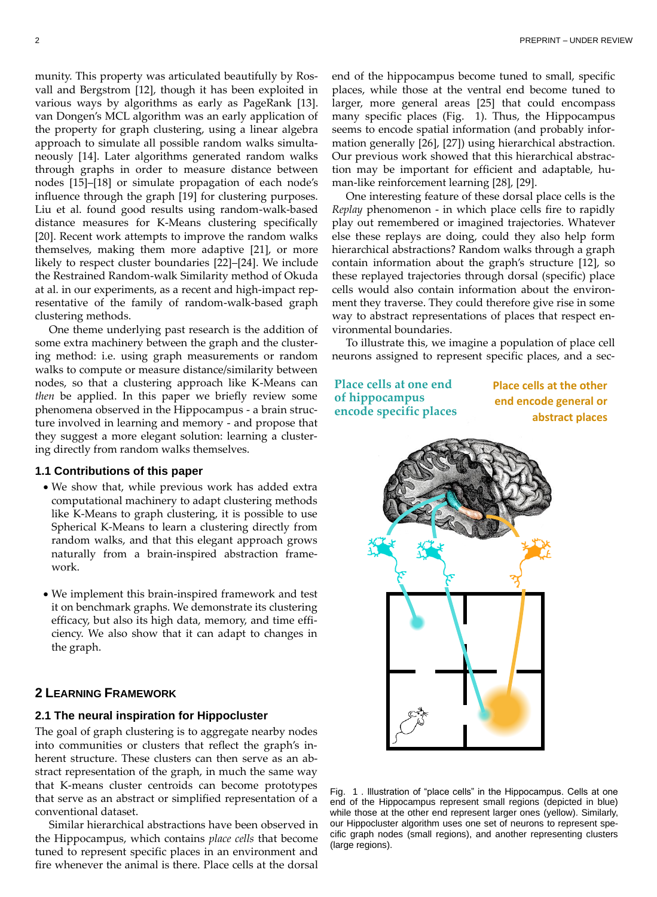munity. This property was articulated beautifully by Rosvall and Bergstrom [12], though it has been exploited in various ways by algorithms as early as PageRank [13]. van Dongen's MCL algorithm was an early application of the property for graph clustering, using a linear algebra approach to simulate all possible random walks simultaneously [14]. Later algorithms generated random walks through graphs in order to measure distance between nodes [15]–[18] or simulate propagation of each node's influence through the graph [19] for clustering purposes. Liu et al. found good results using random-walk-based distance measures for K-Means clustering specifically [20]. Recent work attempts to improve the random walks themselves, making them more adaptive [21], or more likely to respect cluster boundaries [22]–[24]. We include the Restrained Random-walk Similarity method of Okuda at al. in our experiments, as a recent and high-impact representative of the family of random-walk-based graph clustering methods.

One theme underlying past research is the addition of some extra machinery between the graph and the clustering method: i.e. using graph measurements or random walks to compute or measure distance/similarity between nodes, so that a clustering approach like K-Means can *then* be applied. In this paper we briefly review some phenomena observed in the Hippocampus - a brain structure involved in learning and memory - and propose that they suggest a more elegant solution: learning a clustering directly from random walks themselves.

#### **1.1 Contributions of this paper**

- We show that, while previous work has added extra computational machinery to adapt clustering methods like K-Means to graph clustering, it is possible to use Spherical K-Means to learn a clustering directly from random walks, and that this elegant approach grows naturally from a brain-inspired abstraction framework.
- We implement this brain-inspired framework and test it on benchmark graphs. We demonstrate its clustering efficacy, but also its high data, memory, and time efficiency. We also show that it can adapt to changes in the graph.

# **2 LEARNING FRAMEWORK**

#### **2.1 The neural inspiration for Hippocluster**

The goal of graph clustering is to aggregate nearby nodes into communities or clusters that reflect the graph's inherent structure. These clusters can then serve as an abstract representation of the graph, in much the same way that K-means cluster centroids can become prototypes that serve as an abstract or simplified representation of a conventional dataset.

Similar hierarchical abstractions have been observed in the Hippocampus, which contains *place cells* that become tuned to represent specific places in an environment and fire whenever the animal is there. Place cells at the dorsal

end of the hippocampus become tuned to small, specific places, while those at the ventral end become tuned to larger, more general areas [25] that could encompass many specific places [\(Fig. 1\)](#page-1-0). Thus, the Hippocampus seems to encode spatial information (and probably information generally [26], [27]) using hierarchical abstraction. Our previous work showed that this hierarchical abstraction may be important for efficient and adaptable, human-like reinforcement learning [28], [29].

One interesting feature of these dorsal place cells is the *Replay* phenomenon - in which place cells fire to rapidly play out remembered or imagined trajectories. Whatever else these replays are doing, could they also help form hierarchical abstractions? Random walks through a graph contain information about the graph's structure [12], so these replayed trajectories through dorsal (specific) place cells would also contain information about the environment they traverse. They could therefore give rise in some way to abstract representations of places that respect environmental boundaries.

To illustrate this, we imagine a population of place cell neurons assigned to represent specific places, and a sec-

**Place cells at one end of hippocampus encode specific places** **Place cells at the other end encode general or abstract places**



<span id="page-1-0"></span>Fig. 1 . Illustration of "place cells" in the Hippocampus. Cells at one end of the Hippocampus represent small regions (depicted in blue) while those at the other end represent larger ones (yellow). Similarly, our Hippocluster algorithm uses one set of neurons to represent specific graph nodes (small regions), and another representing clusters (large regions).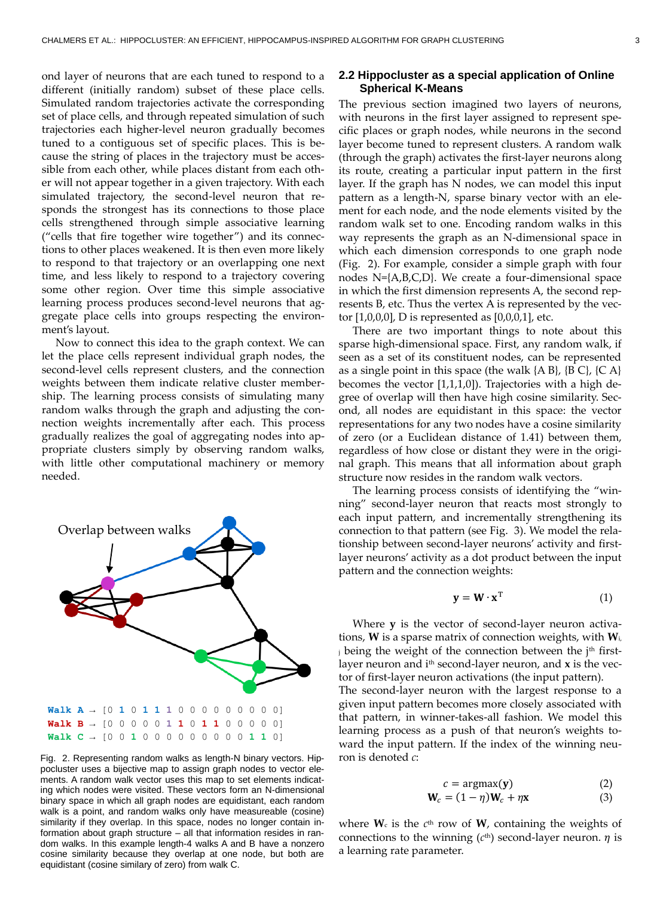ond layer of neurons that are each tuned to respond to a different (initially random) subset of these place cells. Simulated random trajectories activate the corresponding set of place cells, and through repeated simulation of such trajectories each higher-level neuron gradually becomes tuned to a contiguous set of specific places. This is because the string of places in the trajectory must be accessible from each other, while places distant from each other will not appear together in a given trajectory. With each simulated trajectory, the second-level neuron that responds the strongest has its connections to those place cells strengthened through simple associative learning ("cells that fire together wire together") and its connections to other places weakened. It is then even more likely to respond to that trajectory or an overlapping one next time, and less likely to respond to a trajectory covering some other region. Over time this simple associative learning process produces second-level neurons that aggregate place cells into groups respecting the environment's layout.

Now to connect this idea to the graph context. We can let the place cells represent individual graph nodes, the second-level cells represent clusters, and the connection weights between them indicate relative cluster membership. The learning process consists of simulating many random walks through the graph and adjusting the connection weights incrementally after each. This process gradually realizes the goal of aggregating nodes into appropriate clusters simply by observing random walks, with little other computational machinery or memory needed.



<span id="page-2-0"></span>Fig. 2. Representing random walks as length-N binary vectors. Hippocluster uses a bijective map to assign graph nodes to vector elements. A random walk vector uses this map to set elements indicating which nodes were visited. These vectors form an N-dimensional binary space in which all graph nodes are equidistant, each random walk is a point, and random walks only have measureable (cosine) similarity if they overlap. In this space, nodes no longer contain information about graph structure – all that information resides in random walks. In this example length-4 walks A and B have a nonzero cosine similarity because they overlap at one node, but both are equidistant (cosine similary of zero) from walk C.

## **2.2 Hippocluster as a special application of Online Spherical K-Means**

The previous section imagined two layers of neurons, with neurons in the first layer assigned to represent specific places or graph nodes, while neurons in the second layer become tuned to represent clusters. A random walk (through the graph) activates the first-layer neurons along its route, creating a particular input pattern in the first layer. If the graph has N nodes, we can model this input pattern as a length-N, sparse binary vector with an element for each node, and the node elements visited by the random walk set to one. Encoding random walks in this way represents the graph as an N-dimensional space in which each dimension corresponds to one graph node [\(Fig. 2\)](#page-2-0). For example, consider a simple graph with four nodes N={A,B,C,D}. We create a four-dimensional space in which the first dimension represents A, the second represents B, etc. Thus the vertex A is represented by the vector [1,0,0,0], D is represented as [0,0,0,1], etc.

There are two important things to note about this sparse high-dimensional space. First, any random walk, if seen as a set of its constituent nodes, can be represented as a single point in this space (the walk  ${AB}$ ,  ${B}$  C $}$ ,  ${C}$  A $}$ becomes the vector [1,1,1,0]). Trajectories with a high degree of overlap will then have high cosine similarity. Second, all nodes are equidistant in this space: the vector representations for any two nodes have a cosine similarity of zero (or a Euclidean distance of 1.41) between them, regardless of how close or distant they were in the original graph. This means that all information about graph structure now resides in the random walk vectors.

The learning process consists of identifying the "winning" second-layer neuron that reacts most strongly to each input pattern, and incrementally strengthening its connection to that pattern (see [Fig. 3\)](#page-3-0). We model the relationship between second-layer neurons' activity and firstlayer neurons' activity as a dot product between the input pattern and the connection weights:

$$
\mathbf{y} = \mathbf{W} \cdot \mathbf{x}^{\mathrm{T}} \tag{1}
$$

Where **y** is the vector of second-layer neuron activations, **W** is a sparse matrix of connection weights, with **W**i, i being the weight of the connection between the j<sup>th</sup> firstlayer neuron and  $i<sup>th</sup>$  second-layer neuron, and  $x$  is the vector of first-layer neuron activations (the input pattern).

The second-layer neuron with the largest response to a given input pattern becomes more closely associated with that pattern, in winner-takes-all fashion. We model this learning process as a push of that neuron's weights toward the input pattern. If the index of the winning neuron is denoted *c*:

$$
c = \operatorname{argmax}(\mathbf{y})
$$
  

$$
\mathbf{W}_c = (1 - \eta)\mathbf{W}_c + \eta \mathbf{x}
$$
 (3)

where  $W_c$  is the  $c^{th}$  row of  $W$ , containing the weights of connections to the winning  $(c<sup>th</sup>)$  second-layer neuron.  $\eta$  is a learning rate parameter.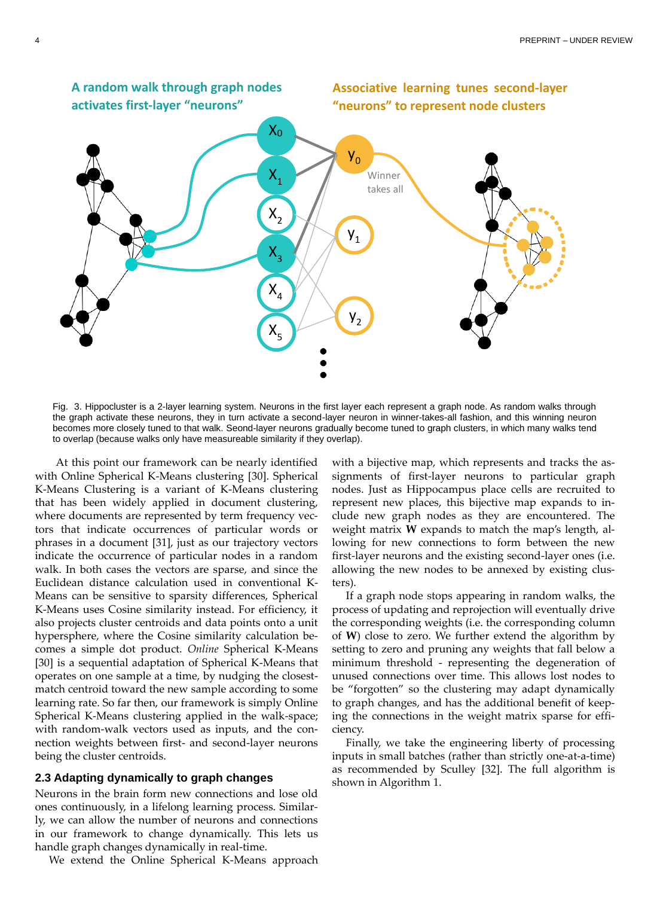

<span id="page-3-0"></span>Fig. 3. Hippocluster is a 2-layer learning system. Neurons in the first layer each represent a graph node. As random walks through the graph activate these neurons, they in turn activate a second-layer neuron in winner-takes-all fashion, and this winning neuron becomes more closely tuned to that walk. Seond-layer neurons gradually become tuned to graph clusters, in which many walks tend to overlap (because walks only have measureable similarity if they overlap).

At this point our framework can be nearly identified with Online Spherical K-Means clustering [30]. Spherical K-Means Clustering is a variant of K-Means clustering that has been widely applied in document clustering, where documents are represented by term frequency vectors that indicate occurrences of particular words or phrases in a document [31], just as our trajectory vectors indicate the occurrence of particular nodes in a random walk. In both cases the vectors are sparse, and since the Euclidean distance calculation used in conventional K-Means can be sensitive to sparsity differences, Spherical K-Means uses Cosine similarity instead. For efficiency, it also projects cluster centroids and data points onto a unit hypersphere, where the Cosine similarity calculation becomes a simple dot product. *Online* Spherical K-Means [30] is a sequential adaptation of Spherical K-Means that operates on one sample at a time, by nudging the closestmatch centroid toward the new sample according to some learning rate. So far then, our framework is simply Online Spherical K-Means clustering applied in the walk-space; with random-walk vectors used as inputs, and the connection weights between first- and second-layer neurons being the cluster centroids.

#### **2.3 Adapting dynamically to graph changes**

Neurons in the brain form new connections and lose old ones continuously, in a lifelong learning process. Similarly, we can allow the number of neurons and connections in our framework to change dynamically. This lets us handle graph changes dynamically in real-time.

We extend the Online Spherical K-Means approach

with a bijective map, which represents and tracks the assignments of first-layer neurons to particular graph nodes. Just as Hippocampus place cells are recruited to represent new places, this bijective map expands to include new graph nodes as they are encountered. The weight matrix **W** expands to match the map's length, allowing for new connections to form between the new first-layer neurons and the existing second-layer ones (i.e. allowing the new nodes to be annexed by existing clusters).

If a graph node stops appearing in random walks, the process of updating and reprojection will eventually drive the corresponding weights (i.e. the corresponding column of **W**) close to zero. We further extend the algorithm by setting to zero and pruning any weights that fall below a minimum threshold - representing the degeneration of unused connections over time. This allows lost nodes to be "forgotten" so the clustering may adapt dynamically to graph changes, and has the additional benefit of keeping the connections in the weight matrix sparse for efficiency.

Finally, we take the engineering liberty of processing inputs in small batches (rather than strictly one-at-a-time) as recommended by Sculley [32]. The full algorithm is shown i[n Algorithm 1.](#page-4-0)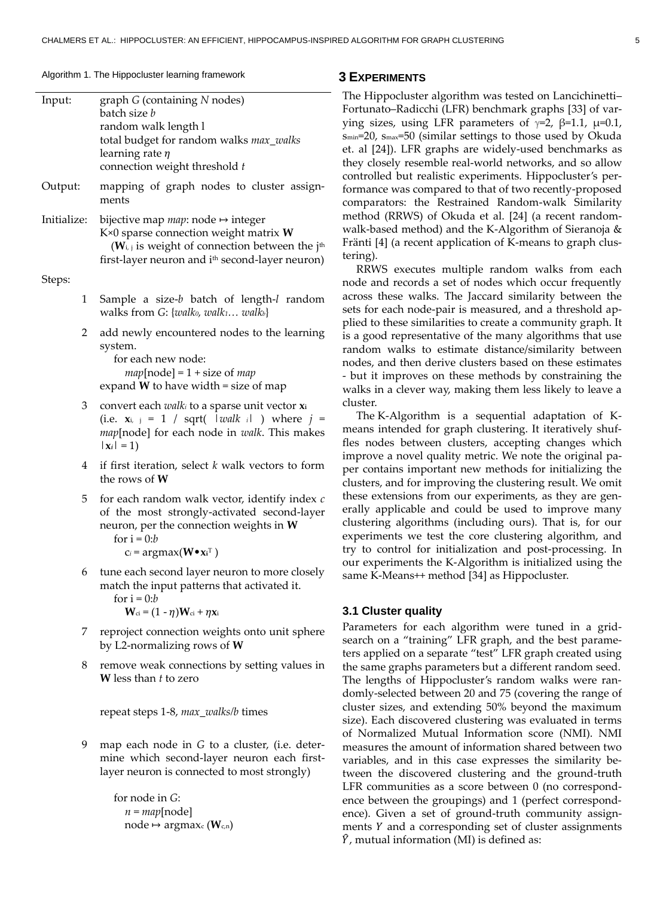### <span id="page-4-0"></span>Algorithm 1. The Hippocluster learning framework **3 EXPERIMENTS**

| Input:      | graph G (containing N nodes)<br>batch size b<br>random walk length l                                                                                                                                                         |
|-------------|------------------------------------------------------------------------------------------------------------------------------------------------------------------------------------------------------------------------------|
|             | total budget for random walks max_walks<br>learning rate $\eta$<br>connection weight threshold t                                                                                                                             |
| Output:     | mapping of graph nodes to cluster assign-<br>ments                                                                                                                                                                           |
| Initialize: | bijective map <i>map</i> : node $\mapsto$ integer<br>K×0 sparse connection weight matrix W<br>$(W_{i,j})$ is weight of connection between the j <sup>th</sup><br>first-layer neuron and i <sup>th</sup> second-layer neuron) |
| Steps:      |                                                                                                                                                                                                                              |
| 1           | Sample a size-b batch of length-l random<br>walks from $G: \{walk_0, walk_1 walk_b\}$                                                                                                                                        |
| 2           | add newly encountered nodes to the learning<br>system.<br>for each new node:<br>$map[node] = 1 + size of map$<br>expand $W$ to have width = size of map                                                                      |
| 3           | convert each <i>walki</i> to a sparse unit vector xi<br>(i.e. $\mathbf{x}_{i, j} = 1$ / sqrt(   walk i  ) where $j =$<br>map[node] for each node in walk. This makes<br>$ \mathbf{x}_i  = 1$                                 |
| 4           | if first iteration, select $k$ walk vectors to form<br>the rows of $W$                                                                                                                                                       |
| 5           | for each random walk vector, identify index $c$<br>of the most strongly-activated second-layer<br>neuron, per the connection weights in $W$<br>for $i = 0:b$<br>$c_i = argmax(W \bullet x_i^T)$                              |
| 6           | tune each second layer neuron to more closely<br>match the input patterns that activated it.<br>for $i = 0:b$<br>$W_{ci} = (1 - \eta)W_{ci} + \eta x_i$                                                                      |
| 7           | reproject connection weights onto unit sphere<br>by L2-normalizing rows of $W$                                                                                                                                               |
| 8           | remove weak connections by setting values in<br><b>W</b> less than <i>t</i> to zero                                                                                                                                          |
|             | repeat steps 1-8, max_walks/b times                                                                                                                                                                                          |
| 9           | map each node in G to a cluster, (i.e. deter-<br>mine which second-layer neuron each first-                                                                                                                                  |

layer neuron is connected to most strongly)

for node in *G*:  $n = map[node]$ node  $\mapsto$  argmax<sub>c</sub> (**W**<sub>c,n</sub>)

e Hippocluster algorithm was tested on Lancichinetti– tunato–Radicchi (LFR) benchmark graphs [33] of varg sizes, using LFR parameters of  $\gamma=2$ , β=1.1, μ=0.1, =20, s<sub>max</sub>=50 (similar settings to those used by Okuda al [24]). LFR graphs are widely-used benchmarks as y closely resemble real-world networks, and so allow trolled but realistic experiments. Hippocluster's permance was compared to that of two recently-proposed nparators: the Restrained Random-walk Similarity thod (RRWS) of Okuda et al. [24] (a recent randomlk-based method) and the K-Algorithm of Sieranoja  $\&$ nti [4] (a recent application of K-means to graph clusng).

RRWS executes multiple random walks from each de and records a set of nodes which occur frequently oss these walks. The Jaccard similarity between the s for each node-pair is measured, and a threshold aped to these similarities to create a community graph. It good representative of the many algorithms that use dom walks to estimate distance/similarity between des, and then derive clusters based on these estimates ut it improves on these methods by constraining the lks in a clever way, making them less likely to leave a ster.

The K-Algorithm is a sequential adaptation of Kans intended for graph clustering. It iteratively shufnodes between clusters, accepting changes which prove a novel quality metric. We note the original pacontains important new methods for initializing the sters, and for improving the clustering result. We omit se extensions from our experiments, as they are genlly applicable and could be used to improve many stering algorithms (including ours). That is, for our eriments we test the core clustering algorithm, and to control for initialization and post-processing. In experiments the K-Algorithm is initialized using the ne K-Means++ method [34] as Hippocluster.

#### **3.1 Cluster quality**

ameters for each algorithm were tuned in a gridrch on a "training" LFR graph, and the best parameapplied on a separate "test" LFR graph created using same graphs parameters but a different random seed. e lengths of Hippocluster's random walks were rannly-selected between 20 and 75 (covering the range of ster sizes, and extending 50% beyond the maximum e). Each discovered clustering was evaluated in terms Normalized Mutual Information score (NMI). NMI asures the amount of information shared between two variables, and in this case expresses the similarity between the discovered clustering and the ground-truth LFR communities as a score between 0 (no correspondence between the groupings) and 1 (perfect correspondence). Given a set of ground-truth community assignments  $Y$  and a corresponding set of cluster assignments ̂, mutual information (MI) is defined as: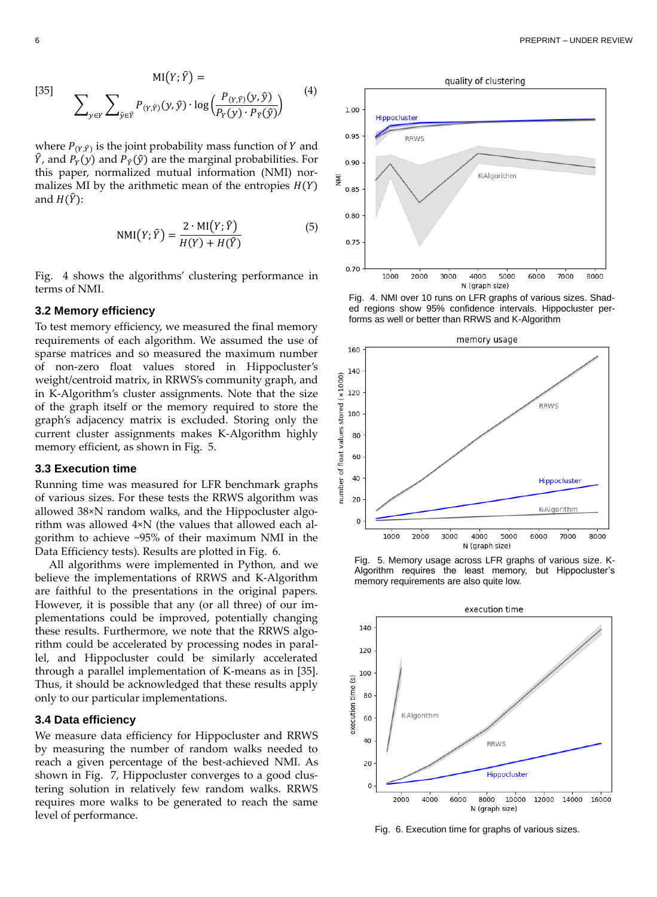$$
MI(Y; \hat{Y}) =
$$
\n
$$
\sum_{y \in Y} \sum_{\hat{y} \in \hat{Y}} P_{(Y, \hat{Y})}(y, \hat{y}) \cdot \log \left( \frac{P_{(Y, \hat{Y})}(y, \hat{y})}{P_Y(y) \cdot P_{\hat{Y}}(\hat{y})} \right)
$$
\n(4)

where  $P_{(Y,\hat{Y})}$  is the joint probability mass function of Y and  $\hat{Y}$ , and  $P_Y(y)$  and  $P_{\hat{Y}}(\hat{y})$  are the marginal probabilities. For this paper, normalized mutual information (NMI) normalizes MI by the arithmetic mean of the entropies  $H(Y)$ and  $H(\hat{Y})$ :

$$
NMI(Y; \hat{Y}) = \frac{2 \cdot MI(Y; \hat{Y})}{H(Y) + H(\hat{Y})}
$$
(5)

[Fig. 4](#page-5-0) shows the algorithms' clustering performance in terms of NMI.

## **3.2 Memory efficiency**

To test memory efficiency, we measured the final memory requirements of each algorithm. We assumed the use of sparse matrices and so measured the maximum number of non-zero float values stored in Hippocluster's weight/centroid matrix, in RRWS's community graph, and in K-Algorithm's cluster assignments. Note that the size of the graph itself or the memory required to store the graph's adjacency matrix is excluded. Storing only the current cluster assignments makes K-Algorithm highly memory efficient, as shown in [Fig. 5.](#page-5-1)

#### **3.3 Execution time**

Running time was measured for LFR benchmark graphs of various sizes. For these tests the RRWS algorithm was allowed 38×N random walks, and the Hippocluster algorithm was allowed 4×N (the values that allowed each algorithm to achieve ~95% of their maximum NMI in the Data Efficiency tests). Results are plotted i[n Fig. 6.](#page-5-2)

All algorithms were implemented in Python, and we believe the implementations of RRWS and K-Algorithm are faithful to the presentations in the original papers. However, it is possible that any (or all three) of our implementations could be improved, potentially changing these results. Furthermore, we note that the RRWS algorithm could be accelerated by processing nodes in parallel, and Hippocluster could be similarly accelerated through a parallel implementation of K-means as in [35]. Thus, it should be acknowledged that these results apply only to our particular implementations.

#### **3.4 Data efficiency**

We measure data efficiency for Hippocluster and RRWS by measuring the number of random walks needed to reach a given percentage of the best-achieved NMI. As shown in [Fig. 7,](#page-6-0) Hippocluster converges to a good clustering solution in relatively few random walks. RRWS requires more walks to be generated to reach the same level of performance.



<span id="page-5-0"></span>Fig. 4. NMI over 10 runs on LFR graphs of various sizes. Shaded regions show 95% confidence intervals. Hippocluster performs as well or better than RRWS and K-Algorithm



<span id="page-5-1"></span>



<span id="page-5-2"></span>Fig. 6. Execution time for graphs of various sizes.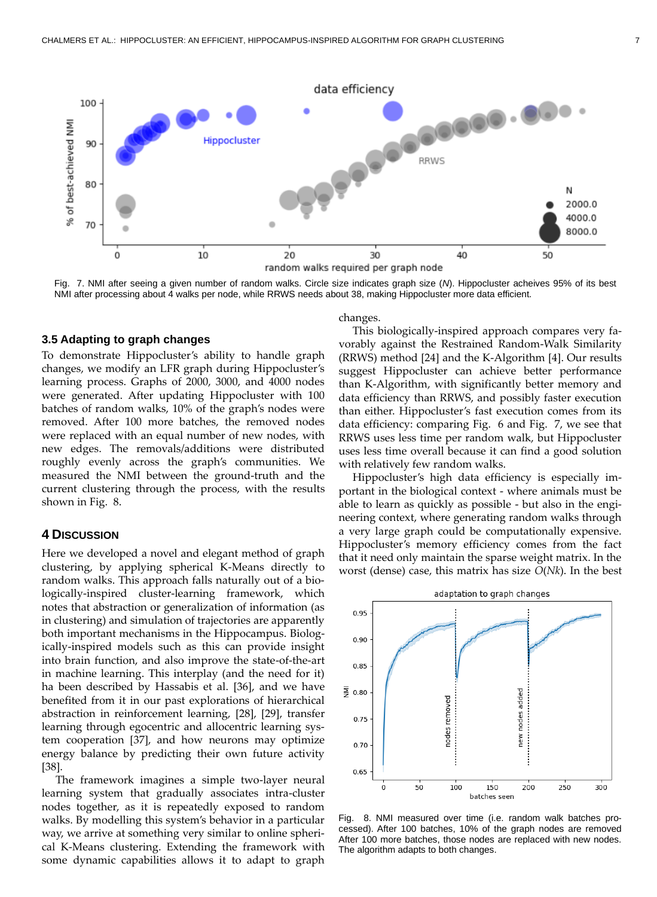

<span id="page-6-0"></span>Fig. 7. NMI after seeing a given number of random walks. Circle size indicates graph size (*N*). Hippocluster acheives 95% of its best NMI after processing about 4 walks per node, while RRWS needs about 38, making Hippocluster more data efficient.

#### **3.5 Adapting to graph changes**

To demonstrate Hippocluster's ability to handle graph changes, we modify an LFR graph during Hippocluster's learning process. Graphs of 2000, 3000, and 4000 nodes were generated. After updating Hippocluster with 100 batches of random walks, 10% of the graph's nodes were removed. After 100 more batches, the removed nodes were replaced with an equal number of new nodes, with new edges. The removals/additions were distributed roughly evenly across the graph's communities. We measured the NMI between the ground-truth and the current clustering through the process, with the results shown in [Fig. 8.](#page-6-1)

#### **4 DISCUSSION**

Here we developed a novel and elegant method of graph clustering, by applying spherical K-Means directly to random walks. This approach falls naturally out of a biologically-inspired cluster-learning framework, which notes that abstraction or generalization of information (as in clustering) and simulation of trajectories are apparently both important mechanisms in the Hippocampus. Biologically-inspired models such as this can provide insight into brain function, and also improve the state-of-the-art in machine learning. This interplay (and the need for it) ha been described by Hassabis et al. [36], and we have benefited from it in our past explorations of hierarchical abstraction in reinforcement learning, [28], [29], transfer learning through egocentric and allocentric learning system cooperation [37], and how neurons may optimize energy balance by predicting their own future activity [38].

The framework imagines a simple two-layer neural learning system that gradually associates intra-cluster nodes together, as it is repeatedly exposed to random walks. By modelling this system's behavior in a particular way, we arrive at something very similar to online spherical K-Means clustering. Extending the framework with some dynamic capabilities allows it to adapt to graph

changes.

This biologically-inspired approach compares very favorably against the Restrained Random-Walk Similarity (RRWS) method [24] and the K-Algorithm [4]. Our results suggest Hippocluster can achieve better performance than K-Algorithm, with significantly better memory and data efficiency than RRWS, and possibly faster execution than either. Hippocluster's fast execution comes from its data efficiency: comparing [Fig. 6](#page-5-2) and [Fig. 7,](#page-6-0) we see that RRWS uses less time per random walk, but Hippocluster uses less time overall because it can find a good solution with relatively few random walks.

Hippocluster's high data efficiency is especially important in the biological context - where animals must be able to learn as quickly as possible - but also in the engineering context, where generating random walks through a very large graph could be computationally expensive. Hippocluster's memory efficiency comes from the fact that it need only maintain the sparse weight matrix. In the worst (dense) case, this matrix has size *O*(*Nk*). In the best



<span id="page-6-1"></span>Fig. 8. NMI measured over time (i.e. random walk batches processed). After 100 batches, 10% of the graph nodes are removed After 100 more batches, those nodes are replaced with new nodes. The algorithm adapts to both changes.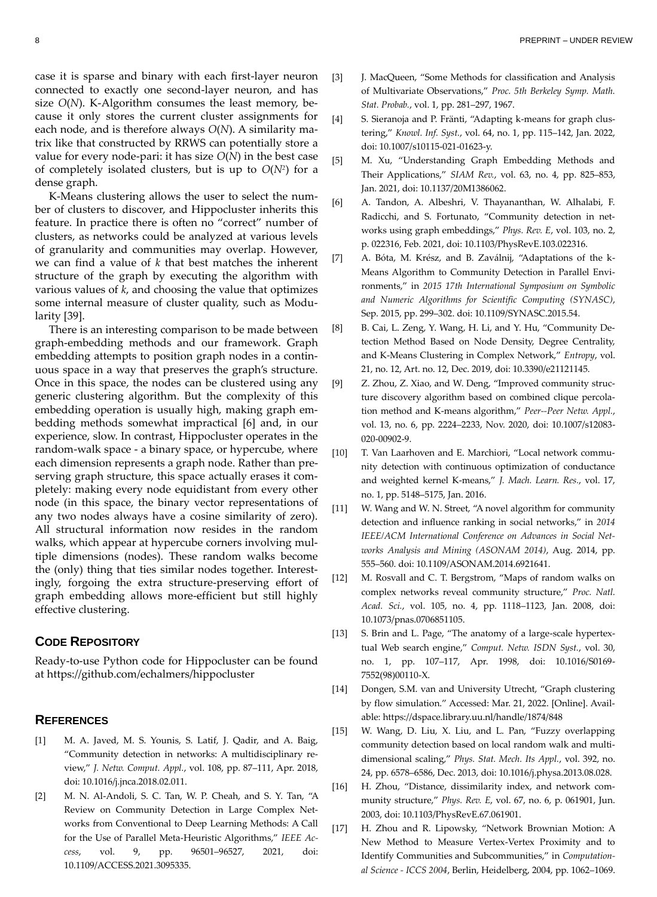case it is sparse and binary with each first-layer neuron connected to exactly one second-layer neuron, and has size *O*(*N*). K-Algorithm consumes the least memory, because it only stores the current cluster assignments for each node, and is therefore always *O*(*N*). A similarity matrix like that constructed by RRWS can potentially store a value for every node-pari: it has size *O*(*N*) in the best case of completely isolated clusters, but is up to *O*(*N<sup>2</sup>* ) for a dense graph.

K-Means clustering allows the user to select the number of clusters to discover, and Hippocluster inherits this feature. In practice there is often no "correct" number of clusters, as networks could be analyzed at various levels of granularity and communities may overlap. However, we can find a value of *k* that best matches the inherent structure of the graph by executing the algorithm with various values of *k*, and choosing the value that optimizes some internal measure of cluster quality, such as Modularity [39].

There is an interesting comparison to be made between graph-embedding methods and our framework. Graph embedding attempts to position graph nodes in a continuous space in a way that preserves the graph's structure. Once in this space, the nodes can be clustered using any generic clustering algorithm. But the complexity of this embedding operation is usually high, making graph embedding methods somewhat impractical [6] and, in our experience, slow. In contrast, Hippocluster operates in the random-walk space - a binary space, or hypercube, where each dimension represents a graph node. Rather than preserving graph structure, this space actually erases it completely: making every node equidistant from every other node (in this space, the binary vector representations of any two nodes always have a cosine similarity of zero). All structural information now resides in the random walks, which appear at hypercube corners involving multiple dimensions (nodes). These random walks become the (only) thing that ties similar nodes together. Interestingly, forgoing the extra structure-preserving effort of graph embedding allows more-efficient but still highly effective clustering.

#### **CODE REPOSITORY**

Ready-to-use Python code for Hippocluster can be found at https://github.com/echalmers/hippocluster

# **REFERENCES**

- [1] M. A. Javed, M. S. Younis, S. Latif, J. Qadir, and A. Baig, "Community detection in networks: A multidisciplinary review," *J. Netw. Comput. Appl.*, vol. 108, pp. 87–111, Apr. 2018, doi: 10.1016/j.jnca.2018.02.011.
- [2] M. N. Al-Andoli, S. C. Tan, W. P. Cheah, and S. Y. Tan, "A Review on Community Detection in Large Complex Networks from Conventional to Deep Learning Methods: A Call for the Use of Parallel Meta-Heuristic Algorithms," *IEEE Access*, vol. 9, pp. 96501–96527, 2021, doi: 10.1109/ACCESS.2021.3095335.
- [3] J. MacQueen, "Some Methods for classification and Analysis of Multivariate Observations," *Proc. 5th Berkeley Symp. Math. Stat. Probab.*, vol. 1, pp. 281–297, 1967.
- [4] S. Sieranoja and P. Fränti, "Adapting k-means for graph clustering," *Knowl. Inf. Syst.*, vol. 64, no. 1, pp. 115–142, Jan. 2022, doi: 10.1007/s10115-021-01623-y.
- [5] M. Xu, "Understanding Graph Embedding Methods and Their Applications," *SIAM Rev.*, vol. 63, no. 4, pp. 825–853, Jan. 2021, doi: 10.1137/20M1386062.
- [6] A. Tandon, A. Albeshri, V. Thayananthan, W. Alhalabi, F. Radicchi, and S. Fortunato, "Community detection in networks using graph embeddings," *Phys. Rev. E*, vol. 103, no. 2, p. 022316, Feb. 2021, doi: 10.1103/PhysRevE.103.022316.
- [7] A. Bóta, M. Krész, and B. Zaválnij, "Adaptations of the k-Means Algorithm to Community Detection in Parallel Environments," in *2015 17th International Symposium on Symbolic and Numeric Algorithms for Scientific Computing (SYNASC)*, Sep. 2015, pp. 299–302. doi: 10.1109/SYNASC.2015.54.
- [8] B. Cai, L. Zeng, Y. Wang, H. Li, and Y. Hu, "Community Detection Method Based on Node Density, Degree Centrality, and K-Means Clustering in Complex Network," *Entropy*, vol. 21, no. 12, Art. no. 12, Dec. 2019, doi: 10.3390/e21121145.
- [9] Z. Zhou, Z. Xiao, and W. Deng, "Improved community structure discovery algorithm based on combined clique percolation method and K-means algorithm," *Peer--Peer Netw. Appl.*, vol. 13, no. 6, pp. 2224–2233, Nov. 2020, doi: 10.1007/s12083- 020-00902-9.
- [10] T. Van Laarhoven and E. Marchiori, "Local network community detection with continuous optimization of conductance and weighted kernel K-means," *J. Mach. Learn. Res.*, vol. 17, no. 1, pp. 5148–5175, Jan. 2016.
- [11] W. Wang and W. N. Street, "A novel algorithm for community detection and influence ranking in social networks," in *2014 IEEE/ACM International Conference on Advances in Social Networks Analysis and Mining (ASONAM 2014)*, Aug. 2014, pp. 555–560. doi: 10.1109/ASONAM.2014.6921641.
- [12] M. Rosvall and C. T. Bergstrom, "Maps of random walks on complex networks reveal community structure," *Proc. Natl. Acad. Sci.*, vol. 105, no. 4, pp. 1118–1123, Jan. 2008, doi: 10.1073/pnas.0706851105.
- [13] S. Brin and L. Page, "The anatomy of a large-scale hypertextual Web search engine," *Comput. Netw. ISDN Syst.*, vol. 30, no. 1, pp. 107–117, Apr. 1998, doi: 10.1016/S0169- 7552(98)00110-X.
- [14] Dongen, S.M. van and University Utrecht, "Graph clustering by flow simulation." Accessed: Mar. 21, 2022. [Online]. Available: https://dspace.library.uu.nl/handle/1874/848
- [15] W. Wang, D. Liu, X. Liu, and L. Pan, "Fuzzy overlapping community detection based on local random walk and multidimensional scaling," *Phys. Stat. Mech. Its Appl.*, vol. 392, no. 24, pp. 6578–6586, Dec. 2013, doi: 10.1016/j.physa.2013.08.028.
- [16] H. Zhou, "Distance, dissimilarity index, and network community structure," *Phys. Rev. E*, vol. 67, no. 6, p. 061901, Jun. 2003, doi: 10.1103/PhysRevE.67.061901.
- [17] H. Zhou and R. Lipowsky, "Network Brownian Motion: A New Method to Measure Vertex-Vertex Proximity and to Identify Communities and Subcommunities," in *Computational Science - ICCS 2004*, Berlin, Heidelberg, 2004, pp. 1062–1069.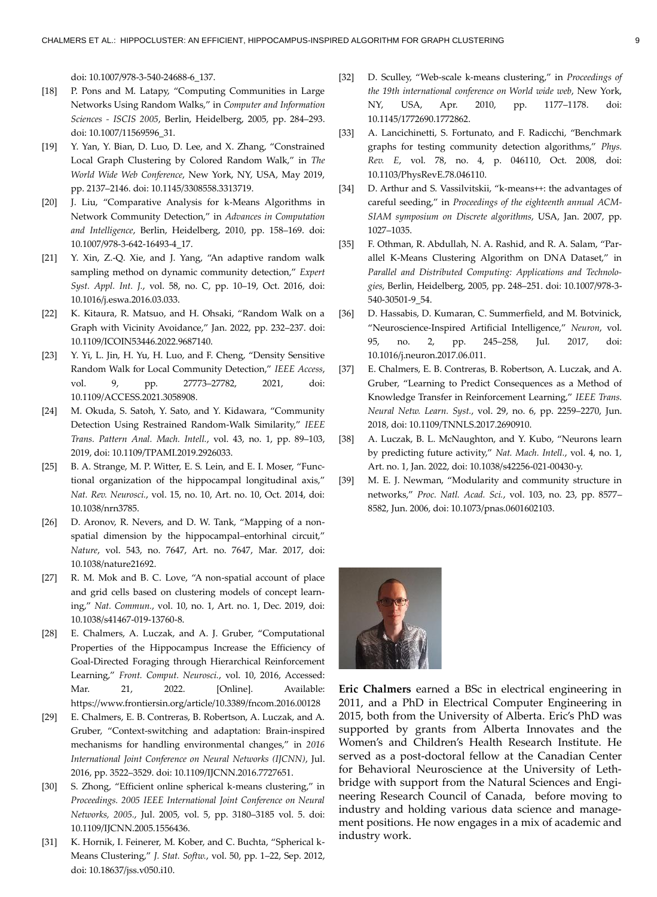doi: 10.1007/978-3-540-24688-6\_137.

- [18] P. Pons and M. Latapy, "Computing Communities in Large Networks Using Random Walks," in *Computer and Information Sciences - ISCIS 2005*, Berlin, Heidelberg, 2005, pp. 284–293. doi: 10.1007/11569596\_31.
- [19] Y. Yan, Y. Bian, D. Luo, D. Lee, and X. Zhang, "Constrained Local Graph Clustering by Colored Random Walk," in *The World Wide Web Conference*, New York, NY, USA, May 2019, pp. 2137–2146. doi: 10.1145/3308558.3313719.
- [20] J. Liu, "Comparative Analysis for k-Means Algorithms in Network Community Detection," in *Advances in Computation and Intelligence*, Berlin, Heidelberg, 2010, pp. 158–169. doi: 10.1007/978-3-642-16493-4\_17.
- [21] Y. Xin, Z.-Q. Xie, and J. Yang, "An adaptive random walk sampling method on dynamic community detection," *Expert Syst. Appl. Int. J.*, vol. 58, no. C, pp. 10–19, Oct. 2016, doi: 10.1016/j.eswa.2016.03.033.
- [22] K. Kitaura, R. Matsuo, and H. Ohsaki, "Random Walk on a Graph with Vicinity Avoidance," Jan. 2022, pp. 232–237. doi: 10.1109/ICOIN53446.2022.9687140.
- [23] Y. Yi, L. Jin, H. Yu, H. Luo, and F. Cheng, "Density Sensitive Random Walk for Local Community Detection," *IEEE Access*, vol. 9, pp. 27773–27782, 2021, doi: 10.1109/ACCESS.2021.3058908.
- [24] M. Okuda, S. Satoh, Y. Sato, and Y. Kidawara, "Community Detection Using Restrained Random-Walk Similarity," *IEEE Trans. Pattern Anal. Mach. Intell.*, vol. 43, no. 1, pp. 89–103, 2019, doi: 10.1109/TPAMI.2019.2926033.
- [25] B. A. Strange, M. P. Witter, E. S. Lein, and E. I. Moser, "Functional organization of the hippocampal longitudinal axis," *Nat. Rev. Neurosci.*, vol. 15, no. 10, Art. no. 10, Oct. 2014, doi: 10.1038/nrn3785.
- [26] D. Aronov, R. Nevers, and D. W. Tank, "Mapping of a nonspatial dimension by the hippocampal–entorhinal circuit," *Nature*, vol. 543, no. 7647, Art. no. 7647, Mar. 2017, doi: 10.1038/nature21692.
- [27] R. M. Mok and B. C. Love, "A non-spatial account of place and grid cells based on clustering models of concept learning," *Nat. Commun.*, vol. 10, no. 1, Art. no. 1, Dec. 2019, doi: 10.1038/s41467-019-13760-8.
- [28] E. Chalmers, A. Luczak, and A. J. Gruber, "Computational Properties of the Hippocampus Increase the Efficiency of Goal-Directed Foraging through Hierarchical Reinforcement Learning," *Front. Comput. Neurosci.*, vol. 10, 2016, Accessed: Mar. 21, 2022. [Online]. Available: https://www.frontiersin.org/article/10.3389/fncom.2016.00128
- [29] E. Chalmers, E. B. Contreras, B. Robertson, A. Luczak, and A. Gruber, "Context-switching and adaptation: Brain-inspired mechanisms for handling environmental changes," in *2016 International Joint Conference on Neural Networks (IJCNN)*, Jul. 2016, pp. 3522–3529. doi: 10.1109/IJCNN.2016.7727651.
- [30] S. Zhong, "Efficient online spherical k-means clustering," in *Proceedings. 2005 IEEE International Joint Conference on Neural Networks, 2005.*, Jul. 2005, vol. 5, pp. 3180–3185 vol. 5. doi: 10.1109/IJCNN.2005.1556436.
- [31] K. Hornik, I. Feinerer, M. Kober, and C. Buchta, "Spherical k-Means Clustering," *J. Stat. Softw.*, vol. 50, pp. 1–22, Sep. 2012, doi: 10.18637/jss.v050.i10.
- [32] D. Sculley, "Web-scale k-means clustering," in *Proceedings of the 19th international conference on World wide web*, New York, NY, USA, Apr. 2010, pp. 1177–1178. doi: 10.1145/1772690.1772862.
- [33] A. Lancichinetti, S. Fortunato, and F. Radicchi, "Benchmark graphs for testing community detection algorithms," *Phys. Rev. E*, vol. 78, no. 4, p. 046110, Oct. 2008, doi: 10.1103/PhysRevE.78.046110.
- [34] D. Arthur and S. Vassilvitskii, "k-means++: the advantages of careful seeding," in *Proceedings of the eighteenth annual ACM-SIAM symposium on Discrete algorithms*, USA, Jan. 2007, pp. 1027–1035.
- [35] F. Othman, R. Abdullah, N. A. Rashid, and R. A. Salam, "Parallel K-Means Clustering Algorithm on DNA Dataset," in *Parallel and Distributed Computing: Applications and Technologies*, Berlin, Heidelberg, 2005, pp. 248–251. doi: 10.1007/978-3- 540-30501-9\_54.
- [36] D. Hassabis, D. Kumaran, C. Summerfield, and M. Botvinick, "Neuroscience-Inspired Artificial Intelligence," *Neuron*, vol. 95, no. 2, pp. 245–258, Jul. 2017, doi: 10.1016/j.neuron.2017.06.011.
- [37] E. Chalmers, E. B. Contreras, B. Robertson, A. Luczak, and A. Gruber, "Learning to Predict Consequences as a Method of Knowledge Transfer in Reinforcement Learning," *IEEE Trans. Neural Netw. Learn. Syst.*, vol. 29, no. 6, pp. 2259–2270, Jun. 2018, doi: 10.1109/TNNLS.2017.2690910.
- [38] A. Luczak, B. L. McNaughton, and Y. Kubo, "Neurons learn by predicting future activity," *Nat. Mach. Intell.*, vol. 4, no. 1, Art. no. 1, Jan. 2022, doi: 10.1038/s42256-021-00430-y.
- [39] M. E. J. Newman, "Modularity and community structure in networks," *Proc. Natl. Acad. Sci.*, vol. 103, no. 23, pp. 8577– 8582, Jun. 2006, doi: 10.1073/pnas.0601602103.



**Eric Chalmers** earned a BSc in electrical engineering in 2011, and a PhD in Electrical Computer Engineering in 2015, both from the University of Alberta. Eric's PhD was supported by grants from Alberta Innovates and the Women's and Children's Health Research Institute. He served as a post-doctoral fellow at the Canadian Center for Behavioral Neuroscience at the University of Lethbridge with support from the Natural Sciences and Engineering Research Council of Canada, before moving to industry and holding various data science and management positions. He now engages in a mix of academic and industry work.